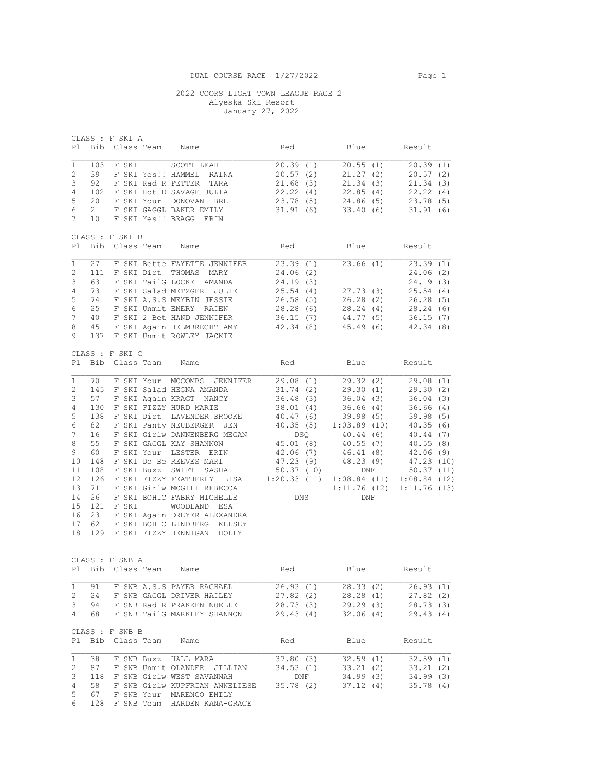CLASS : F SKI A

## 2022 COORS LIGHT TOWN LEAGUE RACE 2 Alyeska Ski Resort January 27, 2022

Pl Bib Class Team Name Red Blue Result 1 103 F SKI SCOTT LEAH 20.39 (1) 20.55 (1) 20.39 (1) 2 39 F SKI Yes!! HAMMEL RAINA 20.57 (2) 21.27 (2) 20.57 (2) 3 92 F SKI Rad R PETTER TARA 21.68 (3) 21.34 (3) 21.34 (3) 4 102 F SKI Hot D SAVAGE JULIA 22.22 (4) 22.85 (4) 22.22 (4) 5 20 F SKI Your DONOVAN BRE 23.78 (5) 24.86 (5) 23.78 (5) 6 2 F SKI GAGGL BAKER EMILY 31.91 (6) 33.40 (6) 31.91 (6) ERRY 10 F SKI GAGGL BAKER EMILY<br>7 10 F SKI Yes!! BRAGG ERIN CLASS : F SKI B Pl Bib Class Team Name Red Blue Result 1 27 F SKI Bette FAYETTE JENNIFER 23.39 (1) 23.66 (1) 23.39 (1) 2 111 F SKI Dirt THOMAS MARY 24.06 (2) 24.06 (2) 3 63 F SKI TailG LOCKE AMANDA 24.19 (3) 24.19 (3) 4 73 F SKI Salad METZGER JULIE 25.54 (4) 27.73 (3) 25.54 (4) 5 74 F SKI A.S.S MEYBIN JESSIE 26.58 (5) 26.28 (2) 26.28 (5) 6 25 F SKI Unmit EMERY RAIEN 28.28 (6) 28.24 (4) 28.24 (6) 7 40 F SKI 2 Bet HAND JENNIFER 36.15 (7) 44.77 (5) 36.15 (7) 8 45 F SKI Again HELMBRECHT AMY 42.34 (8) 45.49 (6) 42.34 (8) 9 137 F SKI Unmit ROWLEY JACKIE CLASS : F SKI C Pl Bib Class Team Name Red Blue Result 1 70 F SKI Your MCCOMBS JENNIFER 29.08 (1) 29.32 (2) 29.08 (1) 2 145 F SKI Salad HEGNA AMANDA 31.74 (2) 29.30 (1) 29.30 (2) 3 57 F SKI Again KRAGT NANCY 36.48 (3) 36.04 (3) 36.04 (3) 4 130 F SKI FIZZY HURD MARIE 38.01 (4) 36.66 (4) 36.66 (4) 5 138 F SKI Dirt LAVENDER BROOKE 40.47 (6) 39.98 (5) 39.98 (5) 6 82 F SKI Panty NEUBERGER JEN 40.35 (5) 1:03.89 (10) 40.35 (6) 7 16 F SKI Girlw DANNENBERG MEGAN DSQ 40.44 (6) 40.44 (7) 8 55 F SKI GAGGL KAY SHANNON 45.01 (8) 40.55 (7) 40.55 (8) 9 60 F SKI Your LESTER ERIN 42.06 (7) 46.41 (8) 42.06 (9) 10 148 F SKI Do Be REEVES MARI 47.23 (9) 48.23 (9) 47.23 (10) 11 108 F SKI Buzz SWIFT SASHA 50.37 (10) DNF 50.37 (11) 12 126 F SKI FIZZY FEATHERLY LISA 1:20.33 (11) 1:08.84 (11) 1:08.84 (12) 13 71 F SKI Girlw MCGILL REBECCA 1:11.76 (12) 1:11.76 (13) 13 71 F SKI Girlw MCGILL REBECCA 1:11.76 (12) 1:11.76 (13)<br>14 26 F SKI BOHIC FABRY MICHELLE DNS DNF 15 121 F SKI WOODLAND ESA 16 23 F SKI Again DREYER ALEXANDRA 17 62 F SKI BOHIC LINDBERG KELSEY 18 129 F SKI FIZZY HENNIGAN HOLLY CLASS : F SNB A Pl Bib Class Team Name **Red** Blue Result 1 91 F SNB A.S.S PAYER RACHAEL 26.93 (1) 28.33 (2) 26.93 (1) 2 24 F SNB GAGGL DRIVER HAILEY 27.82 (2) 28.28 (1) 27.82 (2) 3 94 F SNB Rad R PRAKKEN NOELLE 28.73 (3) 29.29 (3) 28.73 (3) 4 68 F SNB TailG MARKLEY SHANNON 29.43 (4) 32.06 (4) 29.43 (4) CLASS : F SNB B Pl Bib Class Team Name **Red** Blue Result 38 F SNB Buzz HALL MARA<br>87 F SNB Unediate Co 1 38 F SNB Buzz HALL MARA 37.80 (3) 32.59 (1) 32.59 (1) 2 87 F SNB Unmit OLANDER JILLIAN 34.53 (1) 33.21 (2) 33.21 (2) 3 118 F SNB Girlw WEST SAVANNAH DNF 34.99 (3) 34.99 (3) 4 58 F SNB Girlw WEST SAVANNAH 37.80 (3) 32.59 (1) 32.59 (1) 32.59 (1)<br>
4 58 F SNB Girlw WEST SAVANNAH DNF 34.99 (3) 34.99 (3)<br>
4 58 F SNB Girlw KUPFRIAN ANNELIESE 35.78 (2) 37.12 (4) 35.78 (4) 1 58 F SNB Girlw KUPFRIAN ANNELIESE<br>5 67 F SNB Your MARENCO EMILY 6 128 F SNB Team HARDEN KANA-GRACE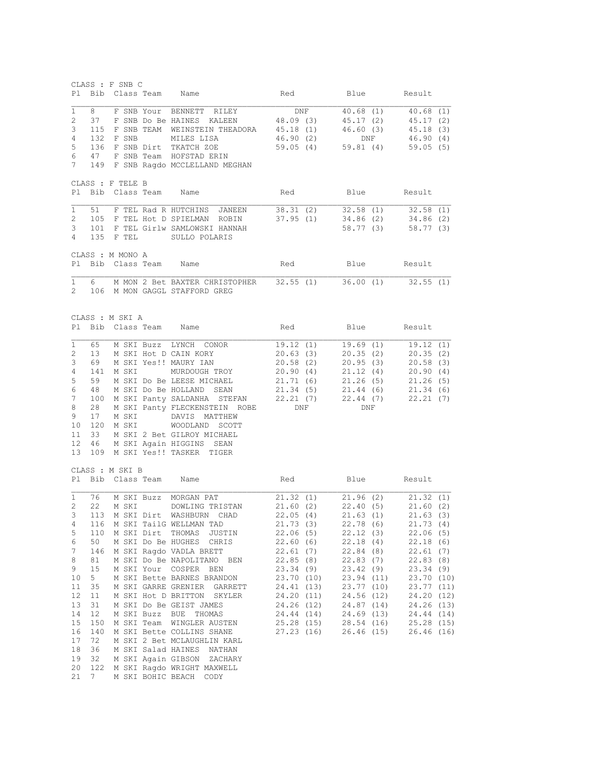|              | CLASS : F SNB C  |           |       |                                                                     |                                                                                                                      |                       |                        |                         |                     |  |
|--------------|------------------|-----------|-------|---------------------------------------------------------------------|----------------------------------------------------------------------------------------------------------------------|-----------------------|------------------------|-------------------------|---------------------|--|
| Pl           |                  |           |       | Bib Class Team Name                                                 | Red                                                                                                                  |                       |                        |                         | Blue Result         |  |
| 1            | 8                |           |       | F SNB Your BENNETT RILEY DNF 40.68 (1) 40.68 (1)                    |                                                                                                                      |                       |                        |                         |                     |  |
| 2            | 37               |           |       | F SNB Do Be HAINES KALEEN                                           | 48.09 (3)                                                                                                            |                       | 45.17 (2)              |                         | 45.17 (2)           |  |
| 3            |                  |           |       | 115 F SNB TEAM WEINSTEIN THEADORA                                   | 45.18 (1)                                                                                                            |                       | 46.60(3)               |                         | 45.18 (3)           |  |
| 4            |                  | 132 F SNB |       | MILES LISA                                                          | 46.90 (2)                                                                                                            |                       | DNF                    |                         | 46.90(4)            |  |
| 5            | 136              |           |       | F SNB Dirt TKATCH ZOE                                               |                                                                                                                      | 59.05 (4) 59.81 (4)   |                        |                         | 59.05(5)            |  |
| 6            | 47               |           |       | F SNB Team HOFSTAD ERIN                                             |                                                                                                                      |                       |                        |                         |                     |  |
| 7            |                  |           |       | 149 F SNB Ragdo MCCLELLAND MEGHAN                                   |                                                                                                                      |                       |                        |                         |                     |  |
|              |                  |           |       |                                                                     |                                                                                                                      |                       |                        |                         |                     |  |
|              | CLASS : F TELE B |           |       |                                                                     |                                                                                                                      |                       |                        |                         |                     |  |
| Pl           |                  |           |       | Bib Class Team Name                                                 | Red                                                                                                                  |                       |                        | Blue                    | Result              |  |
|              |                  |           |       |                                                                     |                                                                                                                      |                       |                        |                         |                     |  |
| 1            |                  |           |       | 51 F TEL Rad R HUTCHINS JANEEN                                      | 38.31 (2) 32.58 (1) 32.58 (1)                                                                                        |                       |                        |                         |                     |  |
| 2            |                  |           |       | 105 F TEL Hot D SPIELMAN ROBIN                                      | 37.95 (1) 34.86 (2) 34.86 (2)                                                                                        |                       |                        |                         |                     |  |
| 3<br>4       |                  | 135 F TEL |       | 101 F TEL Girlw SAMLOWSKI HANNAH                                    |                                                                                                                      |                       |                        | 58.77 (3)               | 58.77 (3)           |  |
|              |                  |           |       | SULLO POLARIS                                                       |                                                                                                                      |                       |                        |                         |                     |  |
|              | CLASS : M MONO A |           |       |                                                                     |                                                                                                                      |                       |                        |                         |                     |  |
| Pl           |                  |           |       | Bib Class Team Name                                                 | Red                                                                                                                  |                       |                        |                         | Blue Result         |  |
|              |                  |           |       |                                                                     |                                                                                                                      |                       |                        |                         |                     |  |
| $\mathbf{1}$ |                  |           |       | 6 M MON 2 Bet BAXTER CHRISTOPHER 32.55 (1) 36.00 (1) 32.55 (1)      |                                                                                                                      |                       |                        |                         |                     |  |
| $2^{\circ}$  |                  |           |       | 106 M MON GAGGL STAFFORD GREG                                       |                                                                                                                      |                       |                        |                         |                     |  |
|              |                  |           |       |                                                                     |                                                                                                                      |                       |                        |                         |                     |  |
|              |                  |           |       |                                                                     |                                                                                                                      |                       |                        |                         |                     |  |
|              | CLASS : M SKI A  |           |       |                                                                     |                                                                                                                      |                       |                        |                         |                     |  |
| Pl.          |                  |           |       | Bib Class Team Name                                                 | Red                                                                                                                  |                       |                        |                         | Blue Result         |  |
|              |                  |           |       |                                                                     |                                                                                                                      |                       |                        |                         |                     |  |
| $\mathbf{1}$ | 65               |           |       | M SKI Buzz LYNCH CONOR                                              | 19.12(1)                                                                                                             |                       |                        |                         | 19.69 (1) 19.12 (1) |  |
| 2            | 13               |           |       | M SKI Hot D CAIN KORY                                               | 20.63(3)                                                                                                             |                       |                        | 20.35(2)                | 20.35(2)            |  |
| 3            | 69               |           |       | M SKI Yes!! MAURY IAN                                               | 20.58(2)                                                                                                             |                       |                        | 20.95(3)                | 20.58(3)            |  |
| 4            | 141              | M SKI     |       | MURDOUGH TROY                                                       | 20.90(4)                                                                                                             |                       | 21.12(4)               |                         | 20.90(4)            |  |
| 5            | 59               |           |       | M SKI Do Be LEESE MICHAEL                                           | 21.71(6)                                                                                                             |                       |                        | 21.26(5)                | 21.26(5)            |  |
| 6            | 48               |           |       | M SKI Do Be HOLLAND SEAN                                            | 21.34(5)                                                                                                             |                       | 21.44 (6)              |                         | 21.34(6)            |  |
| 7            | 100              |           |       | M SKI Panty SALDANHA STEFAN                                         |                                                                                                                      | $22.21(7)$ $22.44(7)$ |                        |                         | 22.21(7)            |  |
| 8            | 28               |           |       | M SKI Panty FLECKENSTEIN ROBE                                       | DNF                                                                                                                  |                       | DNF                    |                         |                     |  |
| 9            | 17               |           | M SKI | DAVIS MATTHEW                                                       |                                                                                                                      |                       |                        |                         |                     |  |
| 10           | 120              | M SKI     |       | WOODLAND SCOTT                                                      |                                                                                                                      |                       |                        |                         |                     |  |
| 11           | 33               |           |       | M SKI 2 Bet GILROY MICHAEL                                          |                                                                                                                      |                       |                        |                         |                     |  |
| 12           | 46               |           |       | M SKI Again HIGGINS SEAN                                            |                                                                                                                      |                       |                        |                         |                     |  |
| 13           |                  |           |       | 109 M SKI Yes!! TASKER TIGER                                        |                                                                                                                      |                       |                        |                         |                     |  |
|              | CLASS : M SKI B  |           |       |                                                                     |                                                                                                                      |                       |                        |                         |                     |  |
| P1           |                  |           |       | Bib Class Team Name                                                 | Red                                                                                                                  |                       |                        |                         | Blue Result         |  |
|              |                  |           |       |                                                                     |                                                                                                                      |                       |                        |                         |                     |  |
| 1            |                  |           |       | 76 M SKI Buzz MORGAN PAT                                            |                                                                                                                      |                       |                        |                         |                     |  |
| 2            | 22               |           | M SKI | DOWLING TRISTAN                                                     | $\begin{array}{cccc} 21.32 & (1) & 21.96 & (2) & 21.32 & (1) \\ 21.60 & (2) & 22.40 & (5) & 21.60 & (2) \end{array}$ |                       |                        |                         |                     |  |
| 3            | 113              |           |       | M SKI Dirt WASHBURN CHAD                                            | 22.05(4)                                                                                                             |                       | 21.63(1)               |                         | 21.63(3)            |  |
|              |                  |           |       | 4 116 M SKI TailG WELLMAN TAD                                       | 21.73(3)                                                                                                             |                       | 22.78 (6)              |                         | 21.73(4)            |  |
| 5            | 110              |           |       | M SKI Dirt THOMAS JUSTIN                                            | 22.06(5)                                                                                                             |                       | 22.12(3)               |                         | 22.06(5)            |  |
| 6            | 50               |           |       | M SKI Do Be HUGHES CHRIS                                            | 22.60(6)                                                                                                             |                       | 22.18 (4)              |                         | 22.18(6)            |  |
| 7            | 146              |           |       | M SKI Ragdo VADLA BRETT                                             | 22.61(7)                                                                                                             |                       | 22.84 (8)<br>22.83 (7) |                         | 22.61(7)            |  |
| 8            | 81               |           |       | M SKI Do Be NAPOLITANO BEN                                          | 22.85(8)                                                                                                             |                       |                        |                         | 22.83(8)            |  |
| 9            | 15               |           |       | M SKI Your COSPER BEN                                               | 23.34(9)                                                                                                             |                       |                        | 23.42 (9)<br>23.94 (11) | 23.34(9)            |  |
| 10           | 5                |           |       | M SKI Bette BARNES BRANDON                                          | 23.70 (10)                                                                                                           |                       |                        |                         | 23.70 (10)          |  |
| 11           | 35               |           |       | M SKI GARRE GRENIER GARRETT                                         | 24.41 (13) 23.77 (10)<br>24.20 (11) 24.56 (12)                                                                       |                       |                        |                         | 23.77(11)           |  |
| 12           | 11               |           |       | M SKI Hot D BRITTON SKYLER                                          |                                                                                                                      |                       |                        |                         | 24.20 (12)          |  |
| 13           | 31               |           |       |                                                                     | 24.26 (12) 24.87 (14)<br>24.44 (14) 24.69 (13)                                                                       |                       |                        |                         | 24.26 (13)          |  |
| 14           | 12 <sup>°</sup>  |           |       | A SKI Buzz BUE THOMAS<br>M SKI Buzz BUE THOMAS<br>M SKI Team Willer |                                                                                                                      |                       |                        |                         | 24.44 (14)          |  |
| 15           | 150              |           |       | M SKI Team WINGLER AUSTEN                                           | 25.28 (15) 28.54 (16) 25.28 (15)<br>27.23 (16) 26.46 (15) 26.46 (16)                                                 |                       |                        |                         |                     |  |
| 16           | 140              |           |       | M SKI Bette COLLINS SHANE                                           |                                                                                                                      |                       |                        |                         |                     |  |
| 17           | 72               |           |       | M SKI 2 Bet MCLAUGHLIN KARL                                         |                                                                                                                      |                       |                        |                         |                     |  |
| 18           | 36               |           |       | M SKI Salad HAINES NATHAN                                           |                                                                                                                      |                       |                        |                         |                     |  |
| 19           | 32               |           |       | M SKI Again GIBSON ZACHARY                                          |                                                                                                                      |                       |                        |                         |                     |  |
| 20<br>21     |                  |           |       | 122 M SKI Ragdo WRIGHT MAXWELL                                      |                                                                                                                      |                       |                        |                         |                     |  |
|              | 7                |           |       | M SKI BOHIC BEACH CODY                                              |                                                                                                                      |                       |                        |                         |                     |  |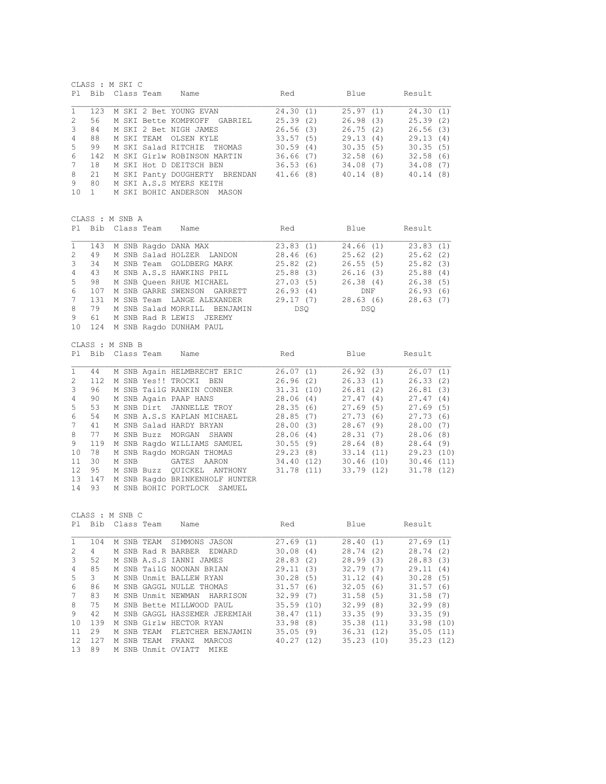|                | CLASS : M SKI C |                |  |                               |           |           |           |  |          |  |
|----------------|-----------------|----------------|--|-------------------------------|-----------|-----------|-----------|--|----------|--|
| PI.            |                 | Bib Class Team |  | Name                          | Red       |           | Blue      |  | Result   |  |
|                | 123             |                |  | M SKI 2 Bet YOUNG EVAN        | 24.30(1)  |           | 25.97(1)  |  | 24.30(1) |  |
| $\mathfrak{D}$ | 56              |                |  | M SKI Bette KOMPKOFF GABRIEL  | 25.39(2)  |           | 26.98(3)  |  | 25.39(2) |  |
| 3              | 84              |                |  | M SKI 2 Bet NIGH JAMES        | 26.56(3)  |           | 26.75(2)  |  | 26.56(3) |  |
| 4              | 88              |                |  | M SKT TEAM OLSEN KYLE         | 33.57(5)  |           | 29.13(4)  |  | 29.13(4) |  |
| .5             | 99              |                |  | M SKI Salad RITCHIE THOMAS    | 30.59(4)  |           | 30.35(5)  |  | 30.35(5) |  |
| 6              | 142             |                |  | M SKI Girlw ROBINSON MARTIN   | 36.66(7)  |           | 32.58(6)  |  | 32.58(6) |  |
| 7              | 18              |                |  | M SKI Hot D DEITSCH BEN       |           | 36.53 (6) | 34.08 (7) |  | 34.08(7) |  |
| 8              | 2.1             |                |  | M SKI Panty DOUGHERTY BRENDAN | 41.66 (8) |           | 40.14(8)  |  | 40.14(8) |  |
| 9              | 80              |                |  | M SKI A.S.S MYERS KEITH       |           |           |           |  |          |  |
| 1 O            | $\overline{1}$  |                |  | M SKI BOHIC ANDERSON MASON    |           |           |           |  |          |  |
|                |                 |                |  |                               |           |           |           |  |          |  |

CLASS : M SNB A

|               |               | Pl Bib Class Team | Name                         | Red      | Blue     | Result   |
|---------------|---------------|-------------------|------------------------------|----------|----------|----------|
| $\mathbf{1}$  | 143           |                   | M SNB Raqdo DANA MAX         | 23.83(1) | 24.66(1) | 23.83(1) |
| 2             | 49            |                   | M SNB Salad HOLZER LANDON    | 28.46(6) | 25.62(2) | 25.62(2) |
| $\mathcal{B}$ | 34            |                   | M SNB Team GOLDBERG MARK     | 25.82(2) | 26.55(5) | 25.82(3) |
| $4 \quad$     | 43            |                   | M SNB A.S.S HAWKINS PHIL     | 25.88(3) | 26.16(3) | 25.88(4) |
| $5 -$         | 98            |                   | M SNB Oueen RHUE MICHAEL     | 27.03(5) | 26.38(4) | 26.38(5) |
| 6             | 107           |                   | M SNB GARRE SWENSON GARRETT  | 26.93(4) | DNF      | 26.93(6) |
| 7             | 131           |                   | M SNB Team LANGE ALEXANDER   | 29.17(7) | 28.63(6) | 28.63(7) |
| 8             | 79            |                   | M SNB Salad MORRILL BENJAMIN | DSO      | DSO      |          |
| 9             | 61            |                   | M SNB Rad R LEWIS JEREMY     |          |          |          |
| $\sim$ $\sim$ | $\sim$ $\sim$ |                   |                              |          |          |          |

10 124 M SNB Ragdo DUNHAM PAUL

CLASS : M SNB B

| P1.             | Bib    | Class Team | Name                           | Red       | Blue       | Result    |  |
|-----------------|--------|------------|--------------------------------|-----------|------------|-----------|--|
| 1               | 44     |            | M SNB Again HELMBRECHT ERIC    | 26.07(1)  | 26.92(3)   | 26.07(1)  |  |
| $2^{\circ}$     | 112    |            | M SNB Yes!! TROCKI BEN         | 26.96(2)  | 26.33(1)   | 26.33(2)  |  |
| 3               | 96     |            | M SNB TailG RANKIN CONNER      | 31.31(10) | 26.81 (2)  | 26.81(3)  |  |
| 4               | 90     |            | M SNB Again PAAP HANS          | 28.06 (4) | 27.47(4)   | 27.47(4)  |  |
| 5               | 53     |            | M SNB Dirt JANNELLE TROY       | 28.35(6)  | 27.69(5)   | 27.69(5)  |  |
| 6               | 54     |            | M SNB A.S.S KAPLAN MICHAEL     | 28.85(7)  | 27.73(6)   | 27.73(6)  |  |
| $7^{\circ}$     | 41     |            | M SNB Salad HARDY BRYAN        | 28.00 (3) | 28.67(9)   | 28.00(7)  |  |
| 8               | 77     |            | M SNB Buzz MORGAN SHAWN        | 28.06(4)  | 28.31(7)   | 28.06(8)  |  |
| 9               | 119    |            | M SNB Raqdo WILLIAMS SAMUEL    | 30.55(9)  | 28.64 (8)  | 28.64(9)  |  |
| 10              | 78     |            | M SNB Ragdo MORGAN THOMAS      | 29.23(8)  | 33.14(11)  | 29.23(10) |  |
| 11              | 30     | M SNB      | GATES AARON                    | 34.40(12) | 30.46 (10) | 30.46(11) |  |
| 12 <sup>1</sup> | 95     |            | M SNB Buzz QUICKEL ANTHONY     | 31.78(11) | 33.79(12)  | 31.78(12) |  |
|                 | 13 147 |            | M SNB Ragdo BRINKENHOLF HUNTER |           |            |           |  |
|                 |        |            |                                |           |            |           |  |

14 93 M SNB BOHIC PORTLOCK SAMUEL

|     | CLASS : M SNB C |       |            |                                |           |      |           |     |            |  |  |
|-----|-----------------|-------|------------|--------------------------------|-----------|------|-----------|-----|------------|--|--|
| P1  | Bib             |       | Class Team | Name                           | Red       |      | Blue      |     | Result     |  |  |
|     | 104             |       | M SNB TEAM | SIMMONS JASON                  | 27.69(1)  |      | 28.40(1)  |     | 27.69(1)   |  |  |
| 2   | 4               |       |            | M SNB Rad R BARBER<br>EDWARD   | 30.08     | (4)  | 28.74     | (2) | 28.74(2)   |  |  |
| 3   | 52              |       |            | M SNB A.S.S IANNI JAMES        | 28.83     | (2)  | 28.99(3)  |     | 28.83(3)   |  |  |
| 4   | 85              |       |            | M SNB TailG NOONAN BRIAN       | 29.11     | (3)  | 32.79(7)  |     | 29.11(4)   |  |  |
| 5   | 3               |       |            | M SNB Unmit BALLEW RYAN        | 30.28     | (5)  | 31.12(4)  |     | 30.28(5)   |  |  |
| 6   | 86              |       |            | M SNB GAGGI, NULLE THOMAS      | 31.57     | (6)  | 32.05     | (6) | 31.57(6)   |  |  |
|     | 83              |       |            | M SNB Unmit NEWMAN<br>HARRISON | 32.99     | (7)  | 31.58(5)  |     | 31.58(7)   |  |  |
| 8   | 75              |       |            | M SNB Bette MILLWOOD PAUL      | 35.59(10) |      | 32.99(8)  |     | 32.99(8)   |  |  |
| 9   | 42              |       |            | M SNB GAGGL HASSEMER JEREMIAH  | 38.47(11) |      | 33.35(9)  |     | 33.35(9)   |  |  |
| 10  | 139             |       |            | M SNB Girlw HECTOR RYAN        | 33.98     | (8)  | 35.38(11) |     | 33.98 (10) |  |  |
| 11  | 29              |       | M SNB TEAM | FLETCHER BENJAMIN              | 35.05     | (9)  | 36.31(12) |     | 35.05(11)  |  |  |
| 12. | 127             | M SNB | TEAM       | FRANZ<br>MARCOS                | 40.27     | (12) | 35.23(10) |     | 35.23(12)  |  |  |
| 13  | 89              | M SNB |            | Unmit OVIATT<br>MTKE           |           |      |           |     |            |  |  |